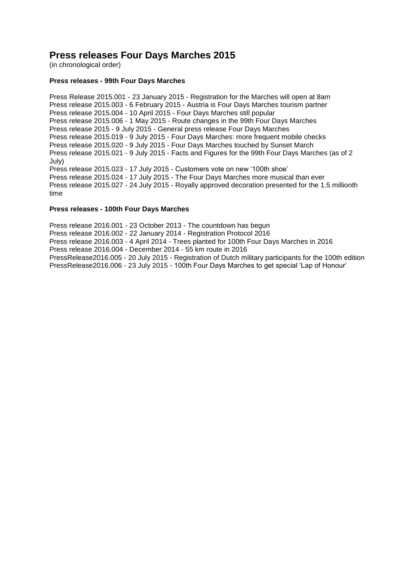# **Press releases Four Days Marches 2015**

(in chronological order)

# **Press releases - 99th Four Days Marches**

Press Release 2015.001 - 23 January 2015 - Registration for the Marches will open at 8am Press release 2015.003 - 6 February 2015 - Austria is Four Days Marches tourism partner Press release 2015.004 - 10 April 2015 - Four Days Marches still popular Press release 2015.006 - 1 May 2015 - Route changes in the 99th Four Days Marches Press release 2015 - 9 July 2015 - General press release Four Days Marches Press release 2015.019 - 9 July 2015 - Four Days Marches: more frequent mobile checks Press release 2015.020 - 9 July 2015 - Four Days Marches touched by Sunset March Press release 2015.021 - 9 July 2015 - Facts and Figures for the 99th Four Days Marches (as of 2 July) Press release 2015.023 - 17 July 2015 - Customers vote on new '100th shoe' Press release 2015.024 - 17 July 2015 - The Four Days Marches more musical than ever Press release 2015.027 - 24 July 2015 - Royally approved decoration presented for the 1.5 millionth time

# **Press releases - 100th Four Days Marches**

Press release 2016.001 - 23 October 2013 - The countdown has begun Press release 2016.002 - 22 January 2014 - Registration Protocol 2016 Press release 2016.003 - 4 April 2014 - Trees planted for 100th Four Days Marches in 2016 Press release 2016.004 - December 2014 - 55 km route in 2016 PressRelease2016.005 - 20 July 2015 - Registration of Dutch military participants for the 100th edition PressRelease2016.006 - 23 July 2015 - [100th Four Days Marches to get special 'Lap of Honour'](http://www.4daagse.nl/en/62-english/100th/press-releases-2016/400-pressrelease2016-006.html)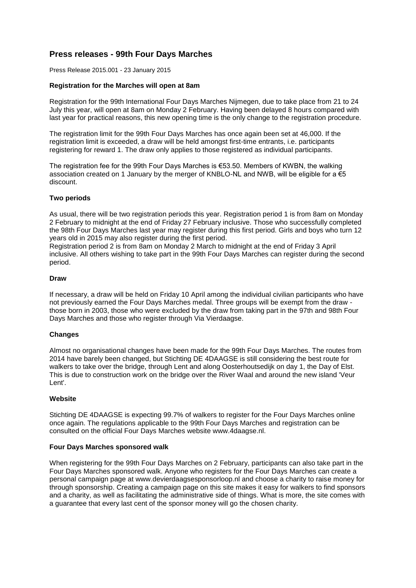# **Press releases - 99th Four Days Marches**

Press Release 2015.001 - 23 January 2015

# **Registration for the Marches will open at 8am**

Registration for the 99th International Four Days Marches Nijmegen, due to take place from 21 to 24 July this year, will open at 8am on Monday 2 February. Having been delayed 8 hours compared with last year for practical reasons, this new opening time is the only change to the registration procedure.

The registration limit for the 99th Four Days Marches has once again been set at 46,000. If the registration limit is exceeded, a draw will be held amongst first-time entrants, i.e. participants registering for reward 1. The draw only applies to those registered as individual participants.

The registration fee for the 99th Four Days Marches is €53.50. Members of KWBN, the walking association created on 1 January by the merger of KNBLO-NL and NWB, will be eligible for a  $\epsilon$ 5 discount.

# **Two periods**

As usual, there will be two registration periods this year. Registration period 1 is from 8am on Monday 2 February to midnight at the end of Friday 27 February inclusive. Those who successfully completed the 98th Four Days Marches last year may register during this first period. Girls and boys who turn 12 years old in 2015 may also register during the first period.

Registration period 2 is from 8am on Monday 2 March to midnight at the end of Friday 3 April inclusive. All others wishing to take part in the 99th Four Days Marches can register during the second period.

# **Draw**

If necessary, a draw will be held on Friday 10 April among the individual civilian participants who have not previously earned the Four Days Marches medal. Three groups will be exempt from the draw those born in 2003, those who were excluded by the draw from taking part in the 97th and 98th Four Days Marches and those who register through Via Vierdaagse.

# **Changes**

Almost no organisational changes have been made for the 99th Four Days Marches. The routes from 2014 have barely been changed, but Stichting DE 4DAAGSE is still considering the best route for walkers to take over the bridge, through Lent and along Oosterhoutsedijk on day 1, the Day of Elst. This is due to construction work on the bridge over the River Waal and around the new island 'Veur Lent'.

# **Website**

Stichting DE 4DAAGSE is expecting 99.7% of walkers to register for the Four Days Marches online once again. The regulations applicable to the 99th Four Days Marches and registration can be consulted on the official Four Days Marches website www.4daagse.nl.

# **Four Days Marches sponsored walk**

When registering for the 99th Four Days Marches on 2 February, participants can also take part in the Four Days Marches sponsored walk. Anyone who registers for the Four Days Marches can create a personal campaign page at www.devierdaagsesponsorloop.nl and choose a charity to raise money for through sponsorship. Creating a campaign page on this site makes it easy for walkers to find sponsors and a charity, as well as facilitating the administrative side of things. What is more, the site comes with a guarantee that every last cent of the sponsor money will go the chosen charity.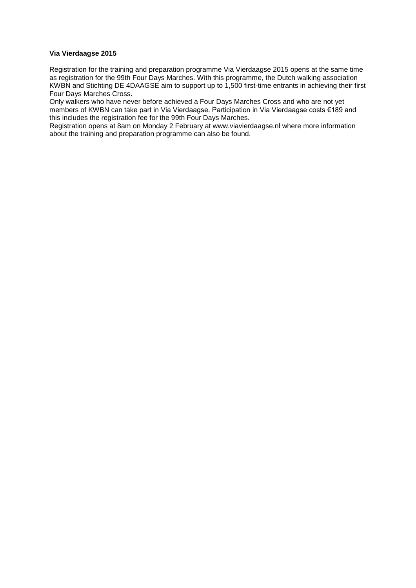# **Via Vierdaagse 2015**

Registration for the training and preparation programme Via Vierdaagse 2015 opens at the same time as registration for the 99th Four Days Marches. With this programme, the Dutch walking association KWBN and Stichting DE 4DAAGSE aim to support up to 1,500 first-time entrants in achieving their first Four Days Marches Cross.

Only walkers who have never before achieved a Four Days Marches Cross and who are not yet members of KWBN can take part in Via Vierdaagse. Participation in Via Vierdaagse costs €189 and this includes the registration fee for the 99th Four Days Marches.

Registration opens at 8am on Monday 2 February at www.viavierdaagse.nl where more information about the training and preparation programme can also be found.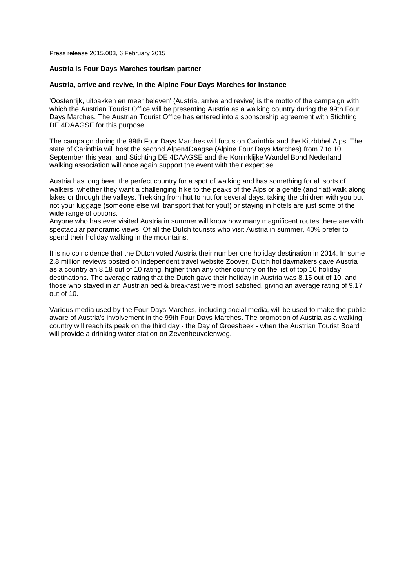Press release 2015.003, 6 February 2015

#### **Austria is Four Days Marches tourism partner**

#### **Austria, arrive and revive, in the Alpine Four Days Marches for instance**

'Oostenrijk, uitpakken en meer beleven' (Austria, arrive and revive) is the motto of the campaign with which the Austrian Tourist Office will be presenting Austria as a walking country during the 99th Four Days Marches. The Austrian Tourist Office has entered into a sponsorship agreement with Stichting DE 4DAAGSE for this purpose.

The campaign during the 99th Four Days Marches will focus on Carinthia and the Kitzbühel Alps. The state of Carinthia will host the second Alpen4Daagse (Alpine Four Days Marches) from 7 to 10 September this year, and Stichting DE 4DAAGSE and the Koninklijke Wandel Bond Nederland walking association will once again support the event with their expertise.

Austria has long been the perfect country for a spot of walking and has something for all sorts of walkers, whether they want a challenging hike to the peaks of the Alps or a gentle (and flat) walk along lakes or through the valleys. Trekking from hut to hut for several days, taking the children with you but not your luggage (someone else will transport that for you!) or staying in hotels are just some of the wide range of options.

Anyone who has ever visited Austria in summer will know how many magnificent routes there are with spectacular panoramic views. Of all the Dutch tourists who visit Austria in summer, 40% prefer to spend their holiday walking in the mountains.

It is no coincidence that the Dutch voted Austria their number one holiday destination in 2014. In some 2.8 million reviews posted on independent travel website Zoover, Dutch holidaymakers gave Austria as a country an 8.18 out of 10 rating, higher than any other country on the list of top 10 holiday destinations. The average rating that the Dutch gave their holiday in Austria was 8.15 out of 10, and those who stayed in an Austrian bed & breakfast were most satisfied, giving an average rating of 9.17 out of 10.

Various media used by the Four Days Marches, including social media, will be used to make the public aware of Austria's involvement in the 99th Four Days Marches. The promotion of Austria as a walking country will reach its peak on the third day - the Day of Groesbeek - when the Austrian Tourist Board will provide a drinking water station on Zevenheuvelenweg.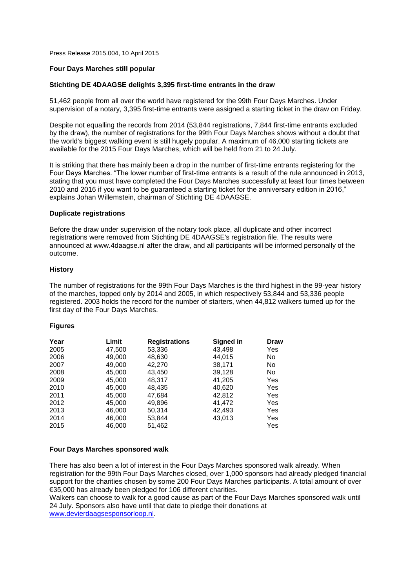Press Release 2015.004, 10 April 2015

# **Four Days Marches still popular**

# **Stichting DE 4DAAGSE delights 3,395 first-time entrants in the draw**

51,462 people from all over the world have registered for the 99th Four Days Marches. Under supervision of a notary, 3,395 first-time entrants were assigned a starting ticket in the draw on Friday.

Despite not equalling the records from 2014 (53,844 registrations, 7,844 first-time entrants excluded by the draw), the number of registrations for the 99th Four Days Marches shows without a doubt that the world's biggest walking event is still hugely popular. A maximum of 46,000 starting tickets are available for the 2015 Four Days Marches, which will be held from 21 to 24 July.

It is striking that there has mainly been a drop in the number of first-time entrants registering for the Four Days Marches. "The lower number of first-time entrants is a result of the rule announced in 2013, stating that you must have completed the Four Days Marches successfully at least four times between 2010 and 2016 if you want to be guaranteed a starting ticket for the anniversary edition in 2016," explains Johan Willemstein, chairman of Stichting DE 4DAAGSE.

# **Duplicate registrations**

Before the draw under supervision of the notary took place, all duplicate and other incorrect registrations were removed from Stichting DE 4DAAGSE's registration file. The results were announced at www.4daagse.nl after the draw, and all participants will be informed personally of the outcome.

# **History**

The number of registrations for the 99th Four Days Marches is the third highest in the 99-year history of the marches, topped only by 2014 and 2005, in which respectively 53,844 and 53,336 people registered. 2003 holds the record for the number of starters, when 44,812 walkers turned up for the first day of the Four Days Marches.

# **Figures**

| Year | Limit  | <b>Registrations</b> | Signed in | Draw |
|------|--------|----------------------|-----------|------|
| 2005 | 47,500 | 53,336               | 43,498    | Yes  |
| 2006 | 49.000 | 48,630               | 44.015    | No   |
| 2007 | 49,000 | 42,270               | 38,171    | No   |
| 2008 | 45,000 | 43,450               | 39,128    | No   |
| 2009 | 45,000 | 48,317               | 41,205    | Yes  |
| 2010 | 45,000 | 48,435               | 40,620    | Yes  |
| 2011 | 45,000 | 47,684               | 42,812    | Yes  |
| 2012 | 45,000 | 49,896               | 41,472    | Yes  |
| 2013 | 46,000 | 50,314               | 42,493    | Yes  |
| 2014 | 46,000 | 53,844               | 43,013    | Yes  |
| 2015 | 46.000 | 51,462               |           | Yes  |

# **Four Days Marches sponsored walk**

There has also been a lot of interest in the Four Days Marches sponsored walk already. When registration for the 99th Four Days Marches closed, over 1,000 sponsors had already pledged financial support for the charities chosen by some 200 Four Days Marches participants. A total amount of over €35,000 has already been pledged for 106 different charities.

Walkers can choose to walk for a good cause as part of the Four Days Marches sponsored walk until 24 July. Sponsors also have until that date to pledge their donations at

[www.devierdaagsesponsorloop.nl.](http://www.devierdaagsesponsorloop.nl/)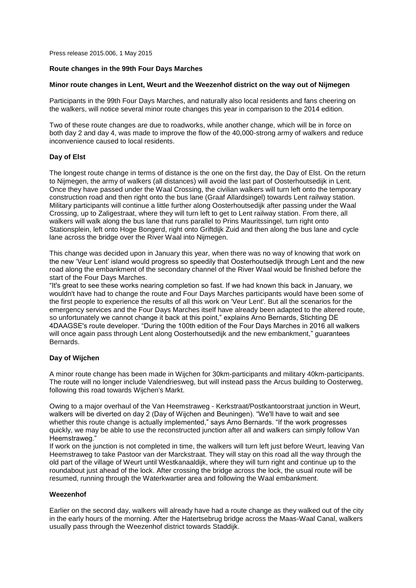Press release 2015.006, 1 May 2015

# **Route changes in the 99th Four Days Marches**

# **Minor route changes in Lent, Weurt and the Weezenhof district on the way out of Nijmegen**

Participants in the 99th Four Days Marches, and naturally also local residents and fans cheering on the walkers, will notice several minor route changes this year in comparison to the 2014 edition.

Two of these route changes are due to roadworks, while another change, which will be in force on both day 2 and day 4, was made to improve the flow of the 40,000-strong army of walkers and reduce inconvenience caused to local residents.

# **Day of Elst**

The longest route change in terms of distance is the one on the first day, the Day of Elst. On the return to Nijmegen, the army of walkers (all distances) will avoid the last part of Oosterhoutsedijk in Lent. Once they have passed under the Waal Crossing, the civilian walkers will turn left onto the temporary construction road and then right onto the bus lane (Graaf Allardsingel) towards Lent railway station. Military participants will continue a little further along Oosterhoutsedijk after passing under the Waal Crossing, up to Zaligestraat, where they will turn left to get to Lent railway station. From there, all walkers will walk along the bus lane that runs parallel to Prins Mauritssingel, turn right onto Stationsplein, left onto Hoge Bongerd, right onto Griftdijk Zuid and then along the bus lane and cycle lane across the bridge over the River Waal into Nijmegen.

This change was decided upon in January this year, when there was no way of knowing that work on the new 'Veur Lent' island would progress so speedily that Oosterhoutsedijk through Lent and the new road along the embankment of the secondary channel of the River Waal would be finished before the start of the Four Days Marches.

"It's great to see these works nearing completion so fast. If we had known this back in January, we wouldn't have had to change the route and Four Days Marches participants would have been some of the first people to experience the results of all this work on 'Veur Lent'. But all the scenarios for the emergency services and the Four Days Marches itself have already been adapted to the altered route, so unfortunately we cannot change it back at this point," explains Arno Bernards, Stichting DE 4DAAGSE's route developer. "During the 100th edition of the Four Days Marches in 2016 all walkers will once again pass through Lent along Oosterhoutsedijk and the new embankment," guarantees Bernards.

# **Day of Wijchen**

A minor route change has been made in Wijchen for 30km-participants and military 40km-participants. The route will no longer include Valendriesweg, but will instead pass the Arcus building to Oosterweg, following this road towards Wijchen's Markt.

Owing to a major overhaul of the Van Heemstraweg - Kerkstraat/Postkantoorstraat junction in Weurt, walkers will be diverted on day 2 (Day of Wijchen and Beuningen). "We'll have to wait and see whether this route change is actually implemented," says Arno Bernards. "If the work progresses quickly, we may be able to use the reconstructed junction after all and walkers can simply follow Van Heemstraweg."

If work on the junction is not completed in time, the walkers will turn left just before Weurt, leaving Van Heemstraweg to take Pastoor van der Marckstraat. They will stay on this road all the way through the old part of the village of Weurt until Westkanaaldijk, where they will turn right and continue up to the roundabout just ahead of the lock. After crossing the bridge across the lock, the usual route will be resumed, running through the Waterkwartier area and following the Waal embankment.

# **Weezenhof**

Earlier on the second day, walkers will already have had a route change as they walked out of the city in the early hours of the morning. After the Hatertsebrug bridge across the Maas-Waal Canal, walkers usually pass through the Weezenhof district towards Staddijk.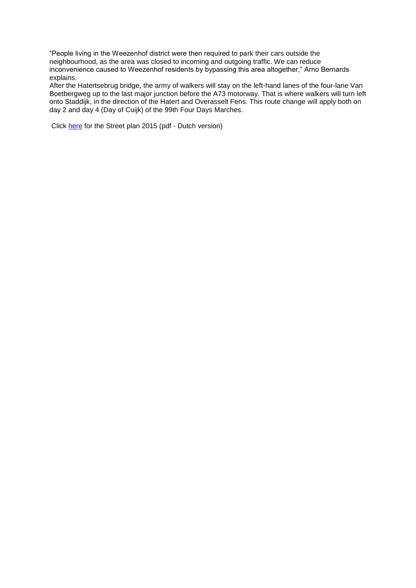"People living in the Weezenhof district were then required to park their cars outside the neighbourhood, as the area was closed to incoming and outgoing traffic. We can reduce inconvenience caused to Weezenhof residents by bypassing this area altogether," Arno Bernards explains.

After the Hatertsebrug bridge, the army of walkers will stay on the left-hand lanes of the four-lane Van Boetbergweg up to the last major junction before the A73 motorway. That is where walkers will turn left onto Staddijk, in the direction of the Hatert and Overasselt Fens. This route change will apply both on day 2 and day 4 (Day of Cuijk) of the 99th Four Days Marches.

Click [here](http://www.4daagse.nl/images/stories/files/2015/Definitief_stratenplan2015.pdf) for the Street plan 2015 (pdf - Dutch version)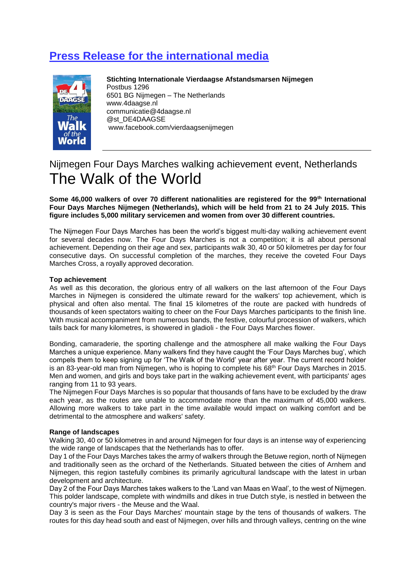# **Press Release for the international media**



**Stichting Internationale Vierdaagse Afstandsmarsen Nijmegen** Postbus 1296 6501 BG Nijmegen – The Netherlands www.4daagse.nl communicatie@4daagse.nl @st\_DE4DAAGSE www.facebook.com/vierdaagsenijmegen

# Nijmegen Four Days Marches walking achievement event, Netherlands The Walk of the World

**Some 46,000 walkers of over 70 different nationalities are registered for the 99th International Four Days Marches Nijmegen (Netherlands), which will be held from 21 to 24 July 2015. This figure includes 5,000 military servicemen and women from over 30 different countries.** 

The Nijmegen Four Days Marches has been the world's biggest multi-day walking achievement event for several decades now. The Four Days Marches is not a competition; it is all about personal achievement. Depending on their age and sex, participants walk 30, 40 or 50 kilometres per day for four consecutive days. On successful completion of the marches, they receive the coveted Four Days Marches Cross, a royally approved decoration.

# **Top achievement**

As well as this decoration, the glorious entry of all walkers on the last afternoon of the Four Days Marches in Nijmegen is considered the ultimate reward for the walkers' top achievement, which is physical and often also mental. The final 15 kilometres of the route are packed with hundreds of thousands of keen spectators waiting to cheer on the Four Days Marches participants to the finish line. With musical accompaniment from numerous bands, the festive, colourful procession of walkers, which tails back for many kilometres, is showered in gladioli - the Four Days Marches flower.

Bonding, camaraderie, the sporting challenge and the atmosphere all make walking the Four Days Marches a unique experience. Many walkers find they have caught the 'Four Days Marches bug', which compels them to keep signing up for 'The Walk of the World' year after year. The current record holder is an 83-year-old man from Nijmegen, who is hoping to complete his 68th Four Days Marches in 2015. Men and women, and girls and boys take part in the walking achievement event, with participants' ages ranging from 11 to 93 years.

The Nijmegen Four Days Marches is so popular that thousands of fans have to be excluded by the draw each year, as the routes are unable to accommodate more than the maximum of 45,000 walkers. Allowing more walkers to take part in the time available would impact on walking comfort and be detrimental to the atmosphere and walkers' safety.

# **Range of landscapes**

Walking 30, 40 or 50 kilometres in and around Nijmegen for four days is an intense way of experiencing the wide range of landscapes that the Netherlands has to offer.

Day 1 of the Four Days Marches takes the army of walkers through the Betuwe region, north of Nijmegen and traditionally seen as the orchard of the Netherlands. Situated between the cities of Arnhem and Nijmegen, this region tastefully combines its primarily agricultural landscape with the latest in urban development and architecture.

Day 2 of the Four Days Marches takes walkers to the 'Land van Maas en Waal', to the west of Nijmegen. This polder landscape, complete with windmills and dikes in true Dutch style, is nestled in between the country's major rivers - the Meuse and the Waal.

Day 3 is seen as the Four Days Marches' mountain stage by the tens of thousands of walkers. The routes for this day head south and east of Nijmegen, over hills and through valleys, centring on the wine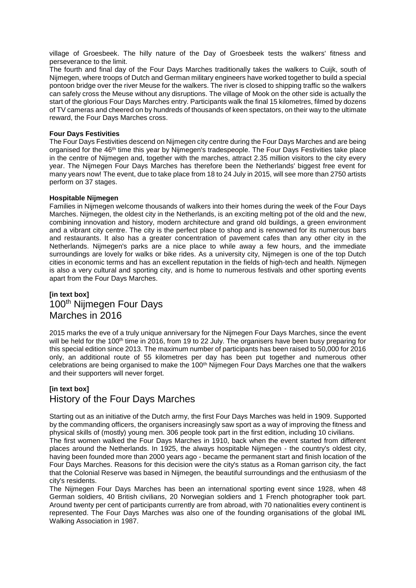village of Groesbeek. The hilly nature of the Day of Groesbeek tests the walkers' fitness and perseverance to the limit.

The fourth and final day of the Four Days Marches traditionally takes the walkers to Cuijk, south of Nijmegen, where troops of Dutch and German military engineers have worked together to build a special pontoon bridge over the river Meuse for the walkers. The river is closed to shipping traffic so the walkers can safely cross the Meuse without any disruptions. The village of Mook on the other side is actually the start of the glorious Four Days Marches entry. Participants walk the final 15 kilometres, filmed by dozens of TV cameras and cheered on by hundreds of thousands of keen spectators, on their way to the ultimate reward, the Four Days Marches cross.

# **Four Days Festivities**

The Four Days Festivities descend on Nijmegen city centre during the Four Days Marches and are being organised for the 46th time this year by Nijmegen's tradespeople. The Four Days Festivities take place in the centre of Nijmegen and, together with the marches, attract 2.35 million visitors to the city every year. The Nijmegen Four Days Marches has therefore been the Netherlands' biggest free event for many years now! The event, due to take place from 18 to 24 July in 2015, will see more than 2750 artists perform on 37 stages.

# **Hospitable Nijmegen**

Families in Nijmegen welcome thousands of walkers into their homes during the week of the Four Days Marches. Nijmegen, the oldest city in the Netherlands, is an exciting melting pot of the old and the new, combining innovation and history, modern architecture and grand old buildings, a green environment and a vibrant city centre. The city is the perfect place to shop and is renowned for its numerous bars and restaurants. It also has a greater concentration of pavement cafes than any other city in the Netherlands. Nijmegen's parks are a nice place to while away a few hours, and the immediate surroundings are lovely for walks or bike rides. As a university city, Nijmegen is one of the top Dutch cities in economic terms and has an excellent reputation in the fields of high-tech and health. Nijmegen is also a very cultural and sporting city, and is home to numerous festivals and other sporting events apart from the Four Days Marches.

# **[in text box]** 100th Nijmegen Four Days Marches in 2016

2015 marks the eve of a truly unique anniversary for the Nijmegen Four Days Marches, since the event will be held for the 100<sup>th</sup> time in 2016, from 19 to 22 July. The organisers have been busy preparing for this special edition since 2013. The maximum number of participants has been raised to 50,000 for 2016 only, an additional route of 55 kilometres per day has been put together and numerous other celebrations are being organised to make the 100<sup>th</sup> Nijmegen Four Days Marches one that the walkers and their supporters will never forget.

# **[in text box]** History of the Four Days Marches

Starting out as an initiative of the Dutch army, the first Four Days Marches was held in 1909. Supported by the commanding officers, the organisers increasingly saw sport as a way of improving the fitness and physical skills of (mostly) young men. 306 people took part in the first edition, including 10 civilians. The first women walked the Four Days Marches in 1910, back when the event started from different places around the Netherlands. In 1925, the always hospitable Nijmegen - the country's oldest city, having been founded more than 2000 years ago - became the permanent start and finish location of the Four Days Marches. Reasons for this decision were the city's status as a Roman garrison city, the fact that the Colonial Reserve was based in Nijmegen, the beautiful surroundings and the enthusiasm of the city's residents.

The Nijmegen Four Days Marches has been an international sporting event since 1928, when 48 German soldiers, 40 British civilians, 20 Norwegian soldiers and 1 French photographer took part. Around twenty per cent of participants currently are from abroad, with 70 nationalities every continent is represented. The Four Days Marches was also one of the founding organisations of the global IML Walking Association in 1987.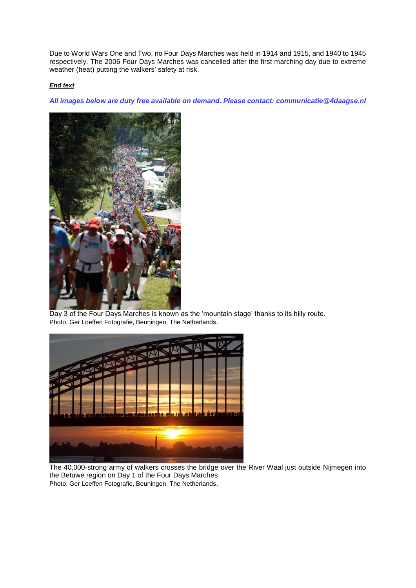Due to World Wars One and Two, no Four Days Marches was held in 1914 and 1915, and 1940 to 1945 respectively. The 2006 Four Days Marches was cancelled after the first marching day due to extreme weather (heat) putting the walkers' safety at risk.

# *End text*

*All images below are duty free available on demand. Please contact: communicatie@4daagse.nl*



 $\mathbf{I}$ Day 3 of the Four Days Marches is known as the 'mountain stage' thanks to its hilly route. Photo: Ger Loeffen Fotografie, Beuningen, The Netherlands.



The 40,000-strong army of walkers crosses the bridge over the River Waal just outside Nijmegen into the Betuwe region on Day 1 of the Four Days Marches. Photo: Ger Loeffen Fotografie, Beuningen, The Netherlands.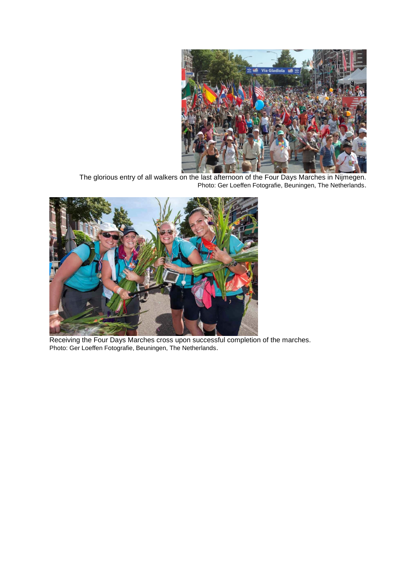

The glorious entry of all walkers on the last afternoon of the Four Days Marches in Nijmegen. Photo: Ger Loeffen Fotografie, Beuningen, The Netherlands.



Receiving the Four Days Marches cross upon successful completion of the marches. Photo: Ger Loeffen Fotografie, Beuningen, The Netherlands.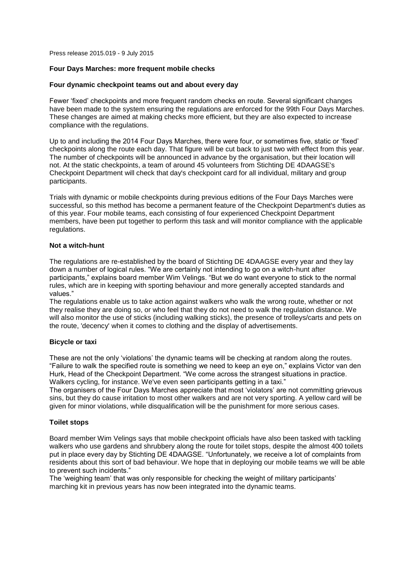Press release 2015.019 - 9 July 2015

# **Four Days Marches: more frequent mobile checks**

# **Four dynamic checkpoint teams out and about every day**

Fewer 'fixed' checkpoints and more frequent random checks en route. Several significant changes have been made to the system ensuring the regulations are enforced for the 99th Four Days Marches. These changes are aimed at making checks more efficient, but they are also expected to increase compliance with the regulations.

Up to and including the 2014 Four Days Marches, there were four, or sometimes five, static or 'fixed' checkpoints along the route each day. That figure will be cut back to just two with effect from this year. The number of checkpoints will be announced in advance by the organisation, but their location will not. At the static checkpoints, a team of around 45 volunteers from Stichting DE 4DAAGSE's Checkpoint Department will check that day's checkpoint card for all individual, military and group participants.

Trials with dynamic or mobile checkpoints during previous editions of the Four Days Marches were successful, so this method has become a permanent feature of the Checkpoint Department's duties as of this year. Four mobile teams, each consisting of four experienced Checkpoint Department members, have been put together to perform this task and will monitor compliance with the applicable regulations.

# **Not a witch-hunt**

The regulations are re-established by the board of Stichting DE 4DAAGSE every year and they lay down a number of logical rules. "We are certainly not intending to go on a witch-hunt after participants," explains board member Wim Velings. "But we do want everyone to stick to the normal rules, which are in keeping with sporting behaviour and more generally accepted standards and values."

The regulations enable us to take action against walkers who walk the wrong route, whether or not they realise they are doing so, or who feel that they do not need to walk the regulation distance. We will also monitor the use of sticks (including walking sticks), the presence of trolleys/carts and pets on the route, 'decency' when it comes to clothing and the display of advertisements.

# **Bicycle or taxi**

These are not the only 'violations' the dynamic teams will be checking at random along the routes. "Failure to walk the specified route is something we need to keep an eye on," explains Victor van den Hurk, Head of the Checkpoint Department. "We come across the strangest situations in practice. Walkers cycling, for instance. We've even seen participants getting in a taxi."

The organisers of the Four Days Marches appreciate that most 'violators' are not committing grievous sins, but they do cause irritation to most other walkers and are not very sporting. A yellow card will be given for minor violations, while disqualification will be the punishment for more serious cases.

# **Toilet stops**

Board member Wim Velings says that mobile checkpoint officials have also been tasked with tackling walkers who use gardens and shrubbery along the route for toilet stops, despite the almost 400 toilets put in place every day by Stichting DE 4DAAGSE. "Unfortunately, we receive a lot of complaints from residents about this sort of bad behaviour. We hope that in deploying our mobile teams we will be able to prevent such incidents."

The 'weighing team' that was only responsible for checking the weight of military participants' marching kit in previous years has now been integrated into the dynamic teams.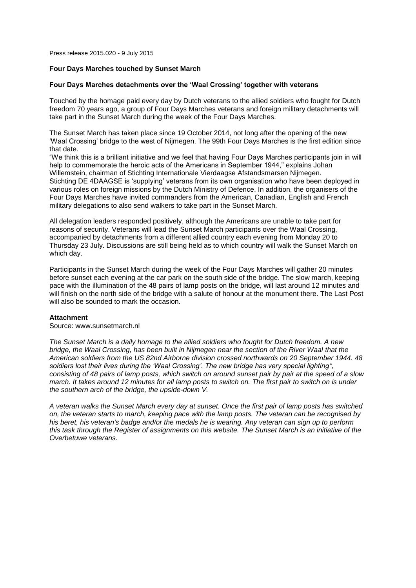Press release 2015.020 - 9 July 2015

### **Four Days Marches touched by Sunset March**

#### **Four Days Marches detachments over the 'Waal Crossing' together with veterans**

Touched by the homage paid every day by Dutch veterans to the allied soldiers who fought for Dutch freedom 70 years ago, a group of Four Days Marches veterans and foreign military detachments will take part in the Sunset March during the week of the Four Days Marches.

The Sunset March has taken place since 19 October 2014, not long after the opening of the new 'Waal Crossing' bridge to the west of Nijmegen. The 99th Four Days Marches is the first edition since that date.

"We think this is a brilliant initiative and we feel that having Four Days Marches participants join in will help to commemorate the heroic acts of the Americans in September 1944," explains Johan Willemstein, chairman of Stichting Internationale Vierdaagse Afstandsmarsen Nijmegen. Stichting DE 4DAAGSE is 'supplying' veterans from its own organisation who have been deployed in various roles on foreign missions by the Dutch Ministry of Defence. In addition, the organisers of the Four Days Marches have invited commanders from the American, Canadian, English and French military delegations to also send walkers to take part in the Sunset March.

All delegation leaders responded positively, although the Americans are unable to take part for reasons of security. Veterans will lead the Sunset March participants over the Waal Crossing, accompanied by detachments from a different allied country each evening from Monday 20 to Thursday 23 July. Discussions are still being held as to which country will walk the Sunset March on which day.

Participants in the Sunset March during the week of the Four Days Marches will gather 20 minutes before sunset each evening at the car park on the south side of the bridge. The slow march, keeping pace with the illumination of the 48 pairs of lamp posts on the bridge, will last around 12 minutes and will finish on the north side of the bridge with a salute of honour at the monument there. The Last Post will also be sounded to mark the occasion.

#### **Attachment**

#### Source: www.sunsetmarch.nl

*The Sunset March is a daily homage to the allied soldiers who fought for Dutch freedom. A new bridge, the Waal Crossing, has been built in Nijmegen near the section of the River Waal that the American soldiers from the US 82nd Airborne division crossed northwards on 20 September 1944. 48 soldiers lost their lives during the 'Waal Crossing'. The new bridge has very special lighting\*, consisting of 48 pairs of lamp posts, which switch on around sunset pair by pair at the speed of a slow march. It takes around 12 minutes for all lamp posts to switch on. The first pair to switch on is under the southern arch of the bridge, the upside-down V.*

*A veteran walks the Sunset March every day at sunset. Once the first pair of lamp posts has switched on, the veteran starts to march, keeping pace with the lamp posts. The veteran can be recognised by his beret, his veteran's badge and/or the medals he is wearing. Any veteran can sign up to perform this task through the Register of assignments on this website. The Sunset March is an initiative of the Overbetuwe veterans.*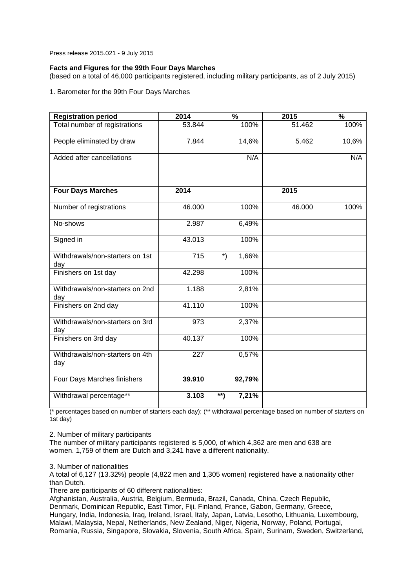Press release 2015.021 - 9 July 2015

# **Facts and Figures for the 99th Four Days Marches**

(based on a total of 46,000 participants registered, including military participants, as of 2 July 2015)

1. Barometer for the 99th Four Days Marches

| <b>Registration period</b>             | 2014   | $\overline{\frac{9}{6}}$ | 2015   | $\overline{\frac{9}{6}}$ |
|----------------------------------------|--------|--------------------------|--------|--------------------------|
| Total number of registrations          | 53.844 | 100%                     | 51.462 | 100%                     |
| People eliminated by draw              | 7.844  | 14,6%                    | 5.462  | 10,6%                    |
| Added after cancellations              |        | N/A                      |        | N/A                      |
| <b>Four Days Marches</b>               | 2014   |                          | 2015   |                          |
| Number of registrations                | 46.000 | 100%                     | 46.000 | 100%                     |
| No-shows                               | 2.987  | 6,49%                    |        |                          |
| Signed in                              | 43.013 | 100%                     |        |                          |
| Withdrawals/non-starters on 1st<br>day | 715    | $\ast$<br>1,66%          |        |                          |
| Finishers on 1st day                   | 42.298 | 100%                     |        |                          |
| Withdrawals/non-starters on 2nd<br>day | 1.188  | 2,81%                    |        |                          |
| Finishers on 2nd day                   | 41.110 | 100%                     |        |                          |
| Withdrawals/non-starters on 3rd<br>day | 973    | 2,37%                    |        |                          |
| Finishers on 3rd day                   | 40.137 | 100%                     |        |                          |
| Withdrawals/non-starters on 4th<br>day | 227    | 0,57%                    |        |                          |
| Four Days Marches finishers            | 39.910 | 92,79%                   |        |                          |
| Withdrawal percentage**                | 3.103  | **)<br>7,21%             |        |                          |

(\* percentages based on number of starters each day); (\*\* withdrawal percentage based on number of starters on 1st day)

2. Number of military participants

The number of military participants registered is 5,000, of which 4,362 are men and 638 are women. 1,759 of them are Dutch and 3,241 have a different nationality.

3. Number of nationalities

A total of 6,127 (13.32%) people (4,822 men and 1,305 women) registered have a nationality other than Dutch.

There are participants of 60 different nationalities:

Afghanistan, Australia, Austria, Belgium, Bermuda, Brazil, Canada, China, Czech Republic, Denmark, Dominican Republic, East Timor, Fiji, Finland, France, Gabon, Germany, Greece, Hungary, India, Indonesia, Iraq, Ireland, Israel, Italy, Japan, Latvia, Lesotho, Lithuania, Luxembourg, Malawi, Malaysia, Nepal, Netherlands, New Zealand, Niger, Nigeria, Norway, Poland, Portugal, Romania, Russia, Singapore, Slovakia, Slovenia, South Africa, Spain, Surinam, Sweden, Switzerland,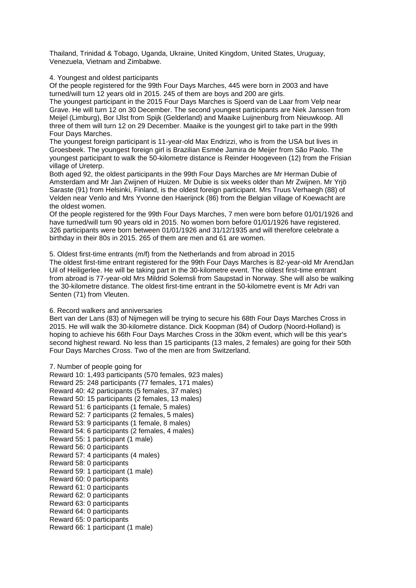Thailand, Trinidad & Tobago, Uganda, Ukraine, United Kingdom, United States, Uruguay, Venezuela, Vietnam and Zimbabwe.

4. Youngest and oldest participants

Of the people registered for the 99th Four Days Marches, 445 were born in 2003 and have turned/will turn 12 years old in 2015. 245 of them are boys and 200 are girls.

The youngest participant in the 2015 Four Days Marches is Sjoerd van de Laar from Velp near Grave. He will turn 12 on 30 December. The second youngest participants are Niek Janssen from Meijel (Limburg), Bor IJlst from Spijk (Gelderland) and Maaike Luijnenburg from Nieuwkoop. All three of them will turn 12 on 29 December. Maaike is the youngest girl to take part in the 99th Four Days Marches.

The youngest foreign participant is 11-year-old Max Endrizzi, who is from the USA but lives in Groesbeek. The youngest foreign girl is Brazilian Esmée Jamira de Meijer from São Paolo. The youngest participant to walk the 50-kilometre distance is Reinder Hoogeveen (12) from the Frisian village of Ureterp.

Both aged 92, the oldest participants in the 99th Four Days Marches are Mr Herman Dubie of Amsterdam and Mr Jan Zwijnen of Huizen. Mr Dubie is six weeks older than Mr Zwijnen. Mr Yrjö Saraste (91) from Helsinki, Finland, is the oldest foreign participant. Mrs Truus Verhaegh (88) of Velden near Venlo and Mrs Yvonne den Haerijnck (86) from the Belgian village of Koewacht are the oldest women.

Of the people registered for the 99th Four Days Marches, 7 men were born before 01/01/1926 and have turned/will turn 90 years old in 2015. No women born before 01/01/1926 have registered. 326 participants were born between 01/01/1926 and 31/12/1935 and will therefore celebrate a birthday in their 80s in 2015. 265 of them are men and 61 are women.

5. Oldest first-time entrants (m/f) from the Netherlands and from abroad in 2015 The oldest first-time entrant registered for the 99th Four Days Marches is 82-year-old Mr ArendJan Uil of Heiligerlee. He will be taking part in the 30-kilometre event. The oldest first-time entrant from abroad is 77-year-old Mrs Mildrid Solemsli from Saupstad in Norway. She will also be walking the 30-kilometre distance. The oldest first-time entrant in the 50-kilometre event is Mr Adri van Senten (71) from Vleuten.

6. Record walkers and anniversaries

Bert van der Lans (83) of Nijmegen will be trying to secure his 68th Four Days Marches Cross in 2015. He will walk the 30-kilometre distance. Dick Koopman (84) of Oudorp (Noord-Holland) is hoping to achieve his 66th Four Days Marches Cross in the 30km event, which will be this year's second highest reward. No less than 15 participants (13 males, 2 females) are going for their 50th Four Days Marches Cross. Two of the men are from Switzerland.

7. Number of people going for Reward 10: 1,493 participants (570 females, 923 males) Reward 25: 248 participants (77 females, 171 males) Reward 40: 42 participants (5 females, 37 males) Reward 50: 15 participants (2 females, 13 males) Reward 51: 6 participants (1 female, 5 males) Reward 52: 7 participants (2 females, 5 males) Reward 53: 9 participants (1 female, 8 males) Reward 54: 6 participants (2 females, 4 males) Reward 55: 1 participant (1 male) Reward 56: 0 participants Reward 57: 4 participants (4 males) Reward 58: 0 participants Reward 59: 1 participant (1 male) Reward 60: 0 participants Reward 61: 0 participants Reward 62: 0 participants Reward 63: 0 participants Reward 64: 0 participants Reward 65: 0 participants Reward 66: 1 participant (1 male)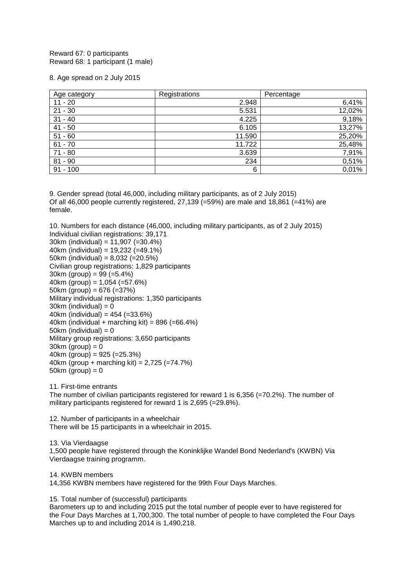Reward 67: 0 participants Reward 68: 1 participant (1 male)

8. Age spread on 2 July 2015

| Age category | Registrations | Percentage |
|--------------|---------------|------------|
| $11 - 20$    | 2.948         | 6,41%      |
| $21 - 30$    | 5.531         | 12,02%     |
| $31 - 40$    | 4.225         | 9,18%      |
| $41 - 50$    | 6.105         | 13,27%     |
| $51 - 60$    | 11.590        | 25,20%     |
| $61 - 70$    | 11.722        | 25,48%     |
| $71 - 80$    | 3.639         | 7,91%      |
| $81 - 90$    | 234           | 0,51%      |
| $91 - 100$   | 6             | 0,01%      |

9. Gender spread (total 46,000, including military participants, as of 2 July 2015) Of all 46,000 people currently registered, 27,139 (=59%) are male and 18,861 (=41%) are female.

10. Numbers for each distance (46,000, including military participants, as of 2 July 2015) Individual civilian registrations: 39,171 30km (individual) = 11,907 (=30.4%) 40km (individual) =  $19.232$  (=49.1%) 50km (individual) = 8,032 (=20.5%) Civilian group registrations: 1,829 participants  $30km$  (group) = 99 (=5.4%) 40km (group) =  $1,054$  (= $57.6\%$ ) 50km (group) =  $676$  (= $37\%$ ) Military individual registrations: 1,350 participants  $30km$  (individual) = 0 40km (individual) =  $454$  (= $33.6\%$ ) 40km (individual + marching kit) =  $896$  (= $66.4\%$ ) 50km (individual)  $= 0$ Military group registrations: 3,650 participants

 $30km$  (group) = 0 40km (group) =  $925 (=25.3%)$ 40km (group + marching kit) = 2,725 (=74.7%)  $50km$  (group) = 0

11. First-time entrants

The number of civilian participants registered for reward 1 is 6,356 (=70.2%). The number of military participants registered for reward 1 is 2,695 (=29.8%).

12. Number of participants in a wheelchair There will be 15 participants in a wheelchair in 2015.

13. Via Vierdaagse 1,500 people have registered through the Koninklijke Wandel Bond Nederland's (KWBN) Via Vierdaagse training programm.

14. KWBN members

14,356 KWBN members have registered for the 99th Four Days Marches.

15. Total number of (successful) participants

Barometers up to and including 2015 put the total number of people ever to have registered for the Four Days Marches at 1,700,300. The total number of people to have completed the Four Days Marches up to and including 2014 is 1,490,218.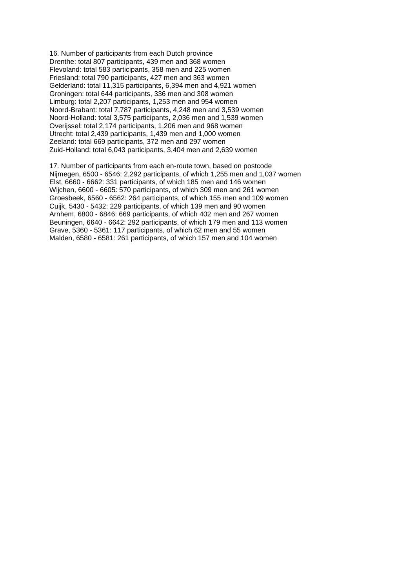16. Number of participants from each Dutch province Drenthe: total 807 participants, 439 men and 368 women Flevoland: total 583 participants, 358 men and 225 women Friesland: total 790 participants, 427 men and 363 women Gelderland: total 11,315 participants, 6,394 men and 4,921 women Groningen: total 644 participants, 336 men and 308 women Limburg: total 2,207 participants, 1,253 men and 954 women Noord-Brabant: total 7,787 participants, 4,248 men and 3,539 women Noord-Holland: total 3,575 participants, 2,036 men and 1,539 women Overijssel: total 2,174 participants, 1,206 men and 968 women Utrecht: total 2,439 participants, 1,439 men and 1,000 women Zeeland: total 669 participants, 372 men and 297 women Zuid-Holland: total 6,043 participants, 3,404 men and 2,639 women

17. Number of participants from each en-route town, based on postcode Nijmegen, 6500 - 6546: 2,292 participants, of which 1,255 men and 1,037 women Elst, 6660 - 6662: 331 participants, of which 185 men and 146 women Wijchen, 6600 - 6605: 570 participants, of which 309 men and 261 women Groesbeek, 6560 - 6562: 264 participants, of which 155 men and 109 women Cuijk, 5430 - 5432: 229 participants, of which 139 men and 90 women Arnhem, 6800 - 6846: 669 participants, of which 402 men and 267 women Beuningen, 6640 - 6642: 292 participants, of which 179 men and 113 women Grave, 5360 - 5361: 117 participants, of which 62 men and 55 women Malden, 6580 - 6581: 261 participants, of which 157 men and 104 women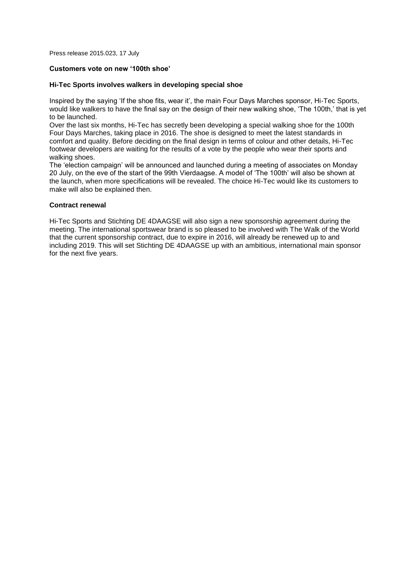Press release 2015.023, 17 July

# **Customers vote on new '100th shoe'**

### **Hi-Tec Sports involves walkers in developing special shoe**

Inspired by the saying 'If the shoe fits, wear it', the main Four Days Marches sponsor, Hi-Tec Sports, would like walkers to have the final say on the design of their new walking shoe, 'The 100th,' that is yet to be launched.

Over the last six months, Hi-Tec has secretly been developing a special walking shoe for the 100th Four Days Marches, taking place in 2016. The shoe is designed to meet the latest standards in comfort and quality. Before deciding on the final design in terms of colour and other details, Hi-Tec footwear developers are waiting for the results of a vote by the people who wear their sports and walking shoes.

The 'election campaign' will be announced and launched during a meeting of associates on Monday 20 July, on the eve of the start of the 99th Vierdaagse. A model of 'The 100th' will also be shown at the launch, when more specifications will be revealed. The choice Hi-Tec would like its customers to make will also be explained then.

#### **Contract renewal**

Hi-Tec Sports and Stichting DE 4DAAGSE will also sign a new sponsorship agreement during the meeting. The international sportswear brand is so pleased to be involved with The Walk of the World that the current sponsorship contract, due to expire in 2016, will already be renewed up to and including 2019. This will set Stichting DE 4DAAGSE up with an ambitious, international main sponsor for the next five years.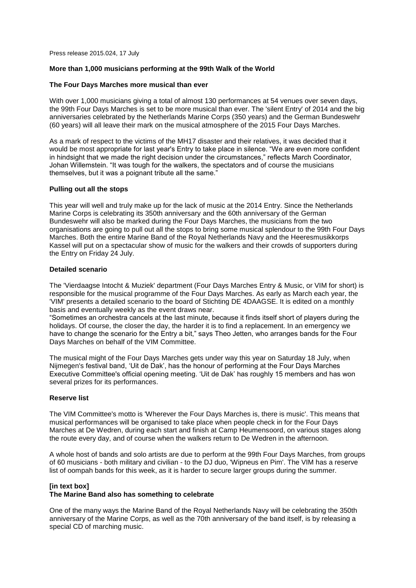Press release 2015.024, 17 July

# **More than 1,000 musicians performing at the 99th Walk of the World**

# **The Four Days Marches more musical than ever**

With over 1,000 musicians giving a total of almost 130 performances at 54 venues over seven days, the 99th Four Days Marches is set to be more musical than ever. The 'silent Entry' of 2014 and the big anniversaries celebrated by the Netherlands Marine Corps (350 years) and the German Bundeswehr (60 years) will all leave their mark on the musical atmosphere of the 2015 Four Days Marches.

As a mark of respect to the victims of the MH17 disaster and their relatives, it was decided that it would be most appropriate for last year's Entry to take place in silence. "We are even more confident in hindsight that we made the right decision under the circumstances," reflects March Coordinator, Johan Willemstein. "It was tough for the walkers, the spectators and of course the musicians themselves, but it was a poignant tribute all the same."

#### **Pulling out all the stops**

This year will well and truly make up for the lack of music at the 2014 Entry. Since the Netherlands Marine Corps is celebrating its 350th anniversary and the 60th anniversary of the German Bundeswehr will also be marked during the Four Days Marches, the musicians from the two organisations are going to pull out all the stops to bring some musical splendour to the 99th Four Days Marches. Both the entire Marine Band of the Royal Netherlands Navy and the Heeresmusikkorps Kassel will put on a spectacular show of music for the walkers and their crowds of supporters during the Entry on Friday 24 July.

#### **Detailed scenario**

The 'Vierdaagse Intocht & Muziek' department (Four Days Marches Entry & Music, or VIM for short) is responsible for the musical programme of the Four Days Marches. As early as March each year, the 'VIM' presents a detailed scenario to the board of Stichting DE 4DAAGSE. It is edited on a monthly basis and eventually weekly as the event draws near.

"Sometimes an orchestra cancels at the last minute, because it finds itself short of players during the holidays. Of course, the closer the day, the harder it is to find a replacement. In an emergency we have to change the scenario for the Entry a bit," says Theo Jetten, who arranges bands for the Four Days Marches on behalf of the VIM Committee.

The musical might of the Four Days Marches gets under way this year on Saturday 18 July, when Nijmegen's festival band, 'Uit de Dak', has the honour of performing at the Four Days Marches Executive Committee's official opening meeting. 'Uit de Dak' has roughly 15 members and has won several prizes for its performances.

# **Reserve list**

The VIM Committee's motto is 'Wherever the Four Days Marches is, there is music'. This means that musical performances will be organised to take place when people check in for the Four Days Marches at De Wedren, during each start and finish at Camp Heumensoord, on various stages along the route every day, and of course when the walkers return to De Wedren in the afternoon.

A whole host of bands and solo artists are due to perform at the 99th Four Days Marches, from groups of 60 musicians - both military and civilian - to the DJ duo, 'Wipneus en Pim'. The VIM has a reserve list of oompah bands for this week, as it is harder to secure larger groups during the summer.

# **[in text box]**

# **The Marine Band also has something to celebrate**

One of the many ways the Marine Band of the Royal Netherlands Navy will be celebrating the 350th anniversary of the Marine Corps, as well as the 70th anniversary of the band itself, is by releasing a special CD of marching music.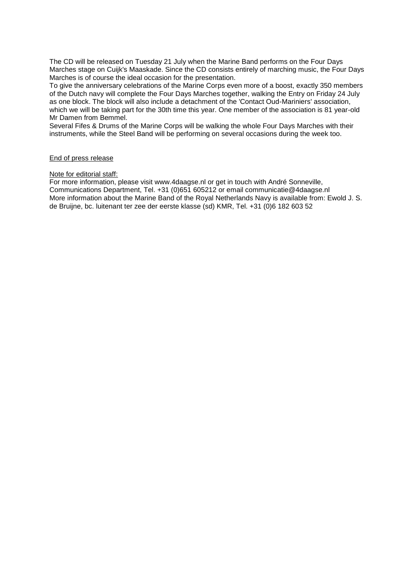The CD will be released on Tuesday 21 July when the Marine Band performs on the Four Days Marches stage on Cuijk's Maaskade. Since the CD consists entirely of marching music, the Four Days Marches is of course the ideal occasion for the presentation.

To give the anniversary celebrations of the Marine Corps even more of a boost, exactly 350 members of the Dutch navy will complete the Four Days Marches together, walking the Entry on Friday 24 July as one block. The block will also include a detachment of the 'Contact Oud-Mariniers' association, which we will be taking part for the 30th time this year. One member of the association is 81 year-old Mr Damen from Bemmel.

Several Fifes & Drums of the Marine Corps will be walking the whole Four Days Marches with their instruments, while the Steel Band will be performing on several occasions during the week too.

# End of press release

#### Note for editorial staff:

For more information, please visit www.4daagse.nl or get in touch with André Sonneville, Communications Department, Tel. +31 (0)651 605212 or email communicatie@4daagse.nl More information about the Marine Band of the Royal Netherlands Navy is available from: Ewold J. S. de Bruijne, bc. luitenant ter zee der eerste klasse (sd) KMR, Tel. +31 (0)6 182 603 52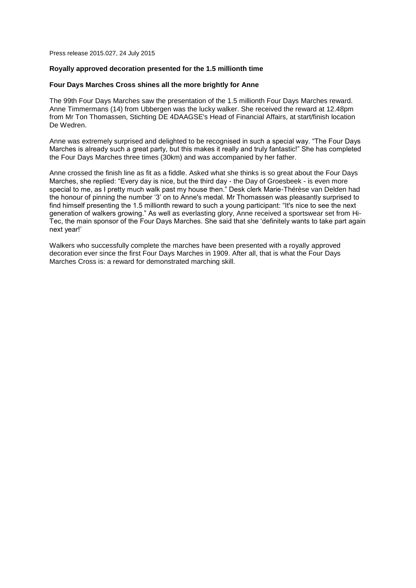Press release 2015.027, 24 July 2015

#### **Royally approved decoration presented for the 1.5 millionth time**

#### **Four Days Marches Cross shines all the more brightly for Anne**

The 99th Four Days Marches saw the presentation of the 1.5 millionth Four Days Marches reward. Anne Timmermans (14) from Ubbergen was the lucky walker. She received the reward at 12.48pm from Mr Ton Thomassen, Stichting DE 4DAAGSE's Head of Financial Affairs, at start/finish location De Wedren.

Anne was extremely surprised and delighted to be recognised in such a special way. "The Four Days Marches is already such a great party, but this makes it really and truly fantastic!" She has completed the Four Days Marches three times (30km) and was accompanied by her father.

Anne crossed the finish line as fit as a fiddle. Asked what she thinks is so great about the Four Days Marches, she replied: "Every day is nice, but the third day - the Day of Groesbeek - is even more special to me, as I pretty much walk past my house then." Desk clerk Marie-Thérèse van Delden had the honour of pinning the number '3' on to Anne's medal. Mr Thomassen was pleasantly surprised to find himself presenting the 1.5 millionth reward to such a young participant: "It's nice to see the next generation of walkers growing." As well as everlasting glory, Anne received a sportswear set from Hi-Tec, the main sponsor of the Four Days Marches. She said that she 'definitely wants to take part again next year!'

Walkers who successfully complete the marches have been presented with a royally approved decoration ever since the first Four Days Marches in 1909. After all, that is what the Four Days Marches Cross is: a reward for demonstrated marching skill.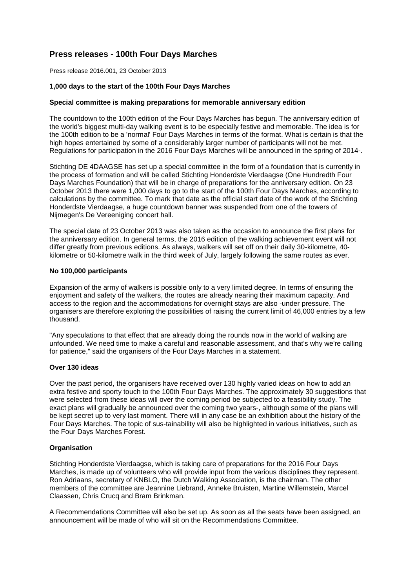# **Press releases - 100th Four Days Marches**

Press release 2016.001, 23 October 2013

# **1,000 days to the start of the 100th Four Days Marches**

### **Special committee is making preparations for memorable anniversary edition**

The countdown to the 100th edition of the Four Days Marches has begun. The anniversary edition of the world's biggest multi-day walking event is to be especially festive and memorable. The idea is for the 100th edition to be a 'normal' Four Days Marches in terms of the format. What is certain is that the high hopes entertained by some of a considerably larger number of participants will not be met. Regulations for participation in the 2016 Four Days Marches will be announced in the spring of 2014-.

Stichting DE 4DAAGSE has set up a special committee in the form of a foundation that is currently in the process of formation and will be called Stichting Honderdste Vierdaagse (One Hundredth Four Days Marches Foundation) that will be in charge of preparations for the anniversary edition. On 23 October 2013 there were 1,000 days to go to the start of the 100th Four Days Marches, according to calculations by the committee. To mark that date as the official start date of the work of the Stichting Honderdste Vierdaagse, a huge countdown banner was suspended from one of the towers of Nijmegen's De Vereeniging concert hall.

The special date of 23 October 2013 was also taken as the occasion to announce the first plans for the anniversary edition. In general terms, the 2016 edition of the walking achievement event will not differ greatly from previous editions. As always, walkers will set off on their daily 30-kilometre, 40 kilometre or 50-kilometre walk in the third week of July, largely following the same routes as ever.

# **No 100,000 participants**

Expansion of the army of walkers is possible only to a very limited degree. In terms of ensuring the enjoyment and safety of the walkers, the routes are already nearing their maximum capacity. And access to the region and the accommodations for overnight stays are also -under pressure. The organisers are therefore exploring the possibilities of raising the current limit of 46,000 entries by a few thousand.

"Any speculations to that effect that are already doing the rounds now in the world of walking are unfounded. We need time to make a careful and reasonable assessment, and that's why we're calling for patience," said the organisers of the Four Days Marches in a statement.

#### **Over 130 ideas**

Over the past period, the organisers have received over 130 highly varied ideas on how to add an extra festive and sporty touch to the 100th Four Days Marches. The approximately 30 suggestions that were selected from these ideas will over the coming period be subjected to a feasibility study. The exact plans will gradually be announced over the coming two years-, although some of the plans will be kept secret up to very last moment. There will in any case be an exhibition about the history of the Four Days Marches. The topic of sus-tainability will also be highlighted in various initiatives, such as the Four Days Marches Forest.

# **Organisation**

Stichting Honderdste Vierdaagse, which is taking care of preparations for the 2016 Four Days Marches, is made up of volunteers who will provide input from the various disciplines they represent. Ron Adriaans, secretary of KNBLO, the Dutch Walking Association, is the chairman. The other members of the committee are Jeannine Liebrand, Anneke Bruisten, Martine Willemstein, Marcel Claassen, Chris Crucq and Bram Brinkman.

A Recommendations Committee will also be set up. As soon as all the seats have been assigned, an announcement will be made of who will sit on the Recommendations Committee.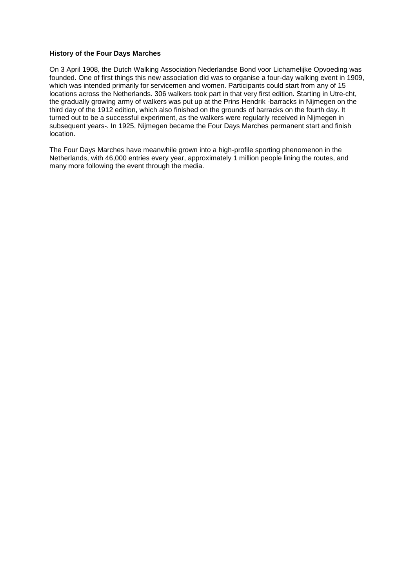# **History of the Four Days Marches**

On 3 April 1908, the Dutch Walking Association Nederlandse Bond voor Lichamelijke Opvoeding was founded. One of first things this new association did was to organise a four-day walking event in 1909, which was intended primarily for servicemen and women. Participants could start from any of 15 locations across the Netherlands. 306 walkers took part in that very first edition. Starting in Utre-cht, the gradually growing army of walkers was put up at the Prins Hendrik -barracks in Nijmegen on the third day of the 1912 edition, which also finished on the grounds of barracks on the fourth day. It turned out to be a successful experiment, as the walkers were regularly received in Nijmegen in subsequent years-. In 1925, Nijmegen became the Four Days Marches permanent start and finish location.

The Four Days Marches have meanwhile grown into a high-profile sporting phenomenon in the Netherlands, with 46,000 entries every year, approximately 1 million people lining the routes, and many more following the event through the media.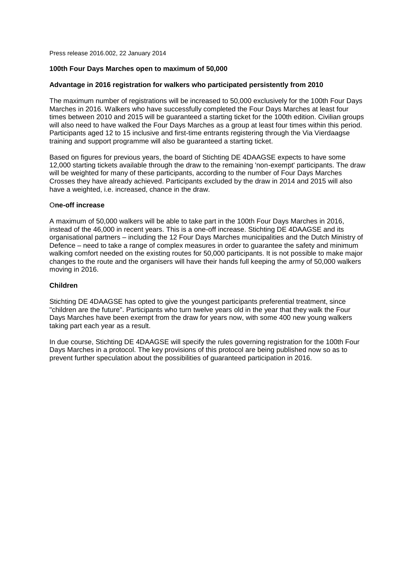Press release 2016.002, 22 January 2014

# **100th Four Days Marches open to maximum of 50,000**

# **Advantage in 2016 registration for walkers who participated persistently from 2010**

The maximum number of registrations will be increased to 50,000 exclusively for the 100th Four Days Marches in 2016. Walkers who have successfully completed the Four Days Marches at least four times between 2010 and 2015 will be guaranteed a starting ticket for the 100th edition. Civilian groups will also need to have walked the Four Days Marches as a group at least four times within this period. Participants aged 12 to 15 inclusive and first-time entrants registering through the Via Vierdaagse training and support programme will also be guaranteed a starting ticket.

Based on figures for previous years, the board of Stichting DE 4DAAGSE expects to have some 12,000 starting tickets available through the draw to the remaining 'non-exempt' participants. The draw will be weighted for many of these participants, according to the number of Four Days Marches Crosses they have already achieved. Participants excluded by the draw in 2014 and 2015 will also have a weighted, i.e. increased, chance in the draw.

#### O**ne-off increase**

A maximum of 50,000 walkers will be able to take part in the 100th Four Days Marches in 2016, instead of the 46,000 in recent years. This is a one-off increase. Stichting DE 4DAAGSE and its organisational partners – including the 12 Four Days Marches municipalities and the Dutch Ministry of Defence – need to take a range of complex measures in order to guarantee the safety and minimum walking comfort needed on the existing routes for 50,000 participants. It is not possible to make major changes to the route and the organisers will have their hands full keeping the army of 50,000 walkers moving in 2016.

#### **Children**

Stichting DE 4DAAGSE has opted to give the youngest participants preferential treatment, since "children are the future". Participants who turn twelve years old in the year that they walk the Four Days Marches have been exempt from the draw for years now, with some 400 new young walkers taking part each year as a result.

In due course, Stichting DE 4DAAGSE will specify the rules governing registration for the 100th Four Days Marches in a protocol. The key provisions of this protocol are being published now so as to prevent further speculation about the possibilities of guaranteed participation in 2016.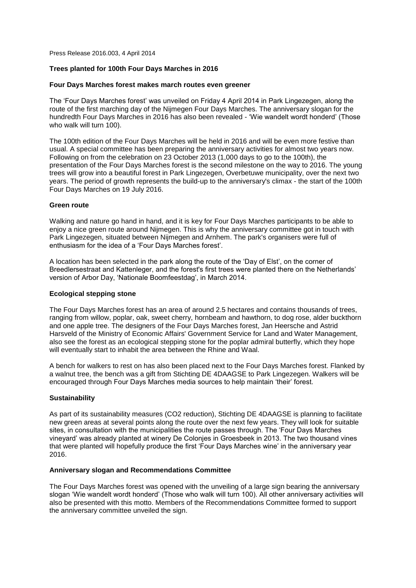Press Release 2016.003, 4 April 2014

# **Trees planted for 100th Four Days Marches in 2016**

#### **Four Days Marches forest makes march routes even greener**

The 'Four Days Marches forest' was unveiled on Friday 4 April 2014 in Park Lingezegen, along the route of the first marching day of the Nijmegen Four Days Marches. The anniversary slogan for the hundredth Four Days Marches in 2016 has also been revealed - 'Wie wandelt wordt honderd' (Those who walk will turn 100).

The 100th edition of the Four Days Marches will be held in 2016 and will be even more festive than usual. A special committee has been preparing the anniversary activities for almost two years now. Following on from the celebration on 23 October 2013 (1,000 days to go to the 100th), the presentation of the Four Days Marches forest is the second milestone on the way to 2016. The young trees will grow into a beautiful forest in Park Lingezegen, Overbetuwe municipality, over the next two years. The period of growth represents the build-up to the anniversary's climax - the start of the 100th Four Days Marches on 19 July 2016.

#### **Green route**

Walking and nature go hand in hand, and it is key for Four Days Marches participants to be able to enjoy a nice green route around Nijmegen. This is why the anniversary committee got in touch with Park Lingezegen, situated between Nijmegen and Arnhem. The park's organisers were full of enthusiasm for the idea of a 'Four Days Marches forest'.

A location has been selected in the park along the route of the 'Day of Elst', on the corner of Breedlersestraat and Kattenleger, and the forest's first trees were planted there on the Netherlands' version of Arbor Day, 'Nationale Boomfeestdag', in March 2014.

### **Ecological stepping stone**

The Four Days Marches forest has an area of around 2.5 hectares and contains thousands of trees, ranging from willow, poplar, oak, sweet cherry, hornbeam and hawthorn, to dog rose, alder buckthorn and one apple tree. The designers of the Four Days Marches forest, Jan Heersche and Astrid Harsveld of the Ministry of Economic Affairs' Government Service for Land and Water Management, also see the forest as an ecological stepping stone for the poplar admiral butterfly, which they hope will eventually start to inhabit the area between the Rhine and Waal.

A bench for walkers to rest on has also been placed next to the Four Days Marches forest. Flanked by a walnut tree, the bench was a gift from Stichting DE 4DAAGSE to Park Lingezegen. Walkers will be encouraged through Four Days Marches media sources to help maintain 'their' forest.

#### **Sustainability**

As part of its sustainability measures (CO2 reduction), Stichting DE 4DAAGSE is planning to facilitate new green areas at several points along the route over the next few years. They will look for suitable sites, in consultation with the municipalities the route passes through. The 'Four Days Marches vineyard' was already planted at winery De Colonjes in Groesbeek in 2013. The two thousand vines that were planted will hopefully produce the first 'Four Days Marches wine' in the anniversary year 2016.

#### **Anniversary slogan and Recommendations Committee**

The Four Days Marches forest was opened with the unveiling of a large sign bearing the anniversary slogan 'Wie wandelt wordt honderd' (Those who walk will turn 100). All other anniversary activities will also be presented with this motto. Members of the Recommendations Committee formed to support the anniversary committee unveiled the sign.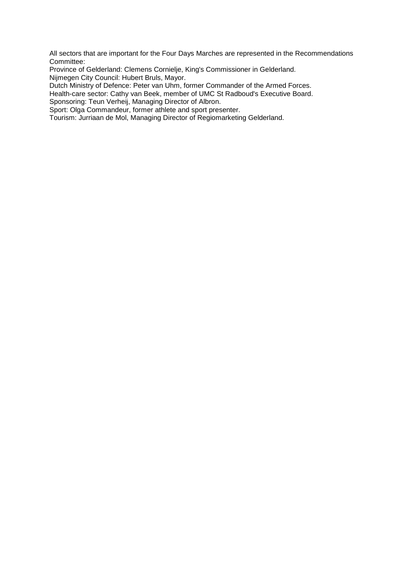All sectors that are important for the Four Days Marches are represented in the Recommendations Committee:

Province of Gelderland: Clemens Cornielje, King's Commissioner in Gelderland. Nijmegen City Council: Hubert Bruls, Mayor.

Dutch Ministry of Defence: Peter van Uhm, former Commander of the Armed Forces.

Health-care sector: Cathy van Beek, member of UMC St Radboud's Executive Board.

Sponsoring: Teun Verheij, Managing Director of Albron.

Sport: Olga Commandeur, former athlete and sport presenter.

Tourism: Jurriaan de Mol, Managing Director of Regiomarketing Gelderland.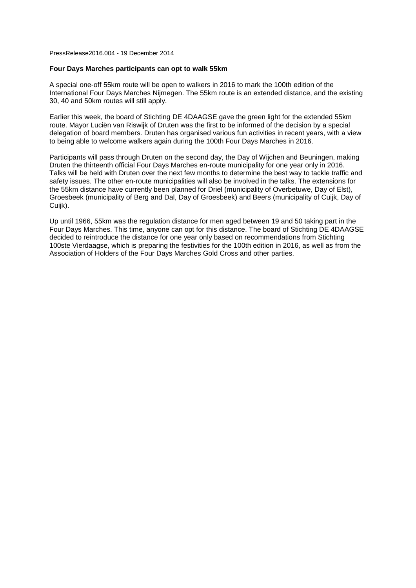PressRelease2016.004 - 19 December 2014

#### **Four Days Marches participants can opt to walk 55km**

A special one-off 55km route will be open to walkers in 2016 to mark the 100th edition of the International Four Days Marches Nijmegen. The 55km route is an extended distance, and the existing 30, 40 and 50km routes will still apply.

Earlier this week, the board of Stichting DE 4DAAGSE gave the green light for the extended 55km route. Mayor Luciën van Riswijk of Druten was the first to be informed of the decision by a special delegation of board members. Druten has organised various fun activities in recent years, with a view to being able to welcome walkers again during the 100th Four Days Marches in 2016.

Participants will pass through Druten on the second day, the Day of Wijchen and Beuningen, making Druten the thirteenth official Four Days Marches en-route municipality for one year only in 2016. Talks will be held with Druten over the next few months to determine the best way to tackle traffic and safety issues. The other en-route municipalities will also be involved in the talks. The extensions for the 55km distance have currently been planned for Driel (municipality of Overbetuwe, Day of Elst), Groesbeek (municipality of Berg and Dal, Day of Groesbeek) and Beers (municipality of Cuijk, Day of Cuijk).

Up until 1966, 55km was the regulation distance for men aged between 19 and 50 taking part in the Four Days Marches. This time, anyone can opt for this distance. The board of Stichting DE 4DAAGSE decided to reintroduce the distance for one year only based on recommendations from Stichting 100ste Vierdaagse, which is preparing the festivities for the 100th edition in 2016, as well as from the Association of Holders of the Four Days Marches Gold Cross and other parties.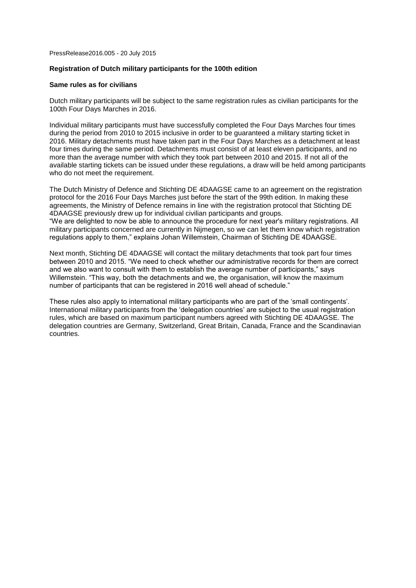PressRelease2016.005 - 20 July 2015

# **Registration of Dutch military participants for the 100th edition**

#### **Same rules as for civilians**

Dutch military participants will be subject to the same registration rules as civilian participants for the 100th Four Days Marches in 2016.

Individual military participants must have successfully completed the Four Days Marches four times during the period from 2010 to 2015 inclusive in order to be guaranteed a military starting ticket in 2016. Military detachments must have taken part in the Four Days Marches as a detachment at least four times during the same period. Detachments must consist of at least eleven participants, and no more than the average number with which they took part between 2010 and 2015. If not all of the available starting tickets can be issued under these regulations, a draw will be held among participants who do not meet the requirement.

The Dutch Ministry of Defence and Stichting DE 4DAAGSE came to an agreement on the registration protocol for the 2016 Four Days Marches just before the start of the 99th edition. In making these agreements, the Ministry of Defence remains in line with the registration protocol that Stichting DE 4DAAGSE previously drew up for individual civilian participants and groups. "We are delighted to now be able to announce the procedure for next year's military registrations. All military participants concerned are currently in Nijmegen, so we can let them know which registration regulations apply to them," explains Johan Willemstein, Chairman of Stichting DE 4DAAGSE.

Next month, Stichting DE 4DAAGSE will contact the military detachments that took part four times between 2010 and 2015. "We need to check whether our administrative records for them are correct and we also want to consult with them to establish the average number of participants," says Willemstein. "This way, both the detachments and we, the organisation, will know the maximum number of participants that can be registered in 2016 well ahead of schedule."

These rules also apply to international military participants who are part of the 'small contingents'. International military participants from the 'delegation countries' are subject to the usual registration rules, which are based on maximum participant numbers agreed with Stichting DE 4DAAGSE. The delegation countries are Germany, Switzerland, Great Britain, Canada, France and the Scandinavian countries.